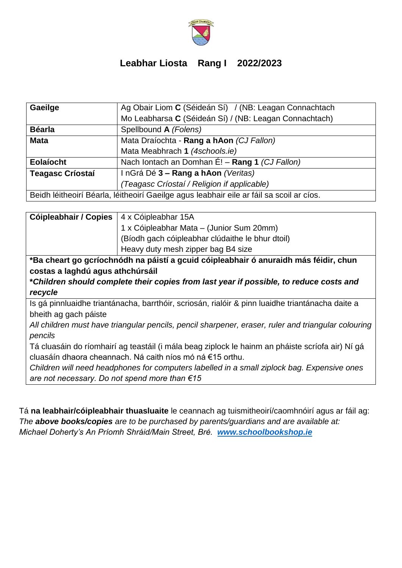

## **Leabhar Liosta Rang I 2022/2023**

| Gaeilge                                                                                  | Ag Obair Liom C (Séideán Sí) / (NB: Leagan Connachtach |  |
|------------------------------------------------------------------------------------------|--------------------------------------------------------|--|
|                                                                                          | Mo Leabharsa C (Séideán Sí) / (NB: Leagan Connachtach) |  |
| <b>Béarla</b>                                                                            | Spellbound A (Folens)                                  |  |
| <b>Mata</b>                                                                              | Mata Draíochta - Rang a hAon (CJ Fallon)               |  |
|                                                                                          | Mata Meabhrach 1 (4schools.ie)                         |  |
| Eolaíocht                                                                                | Nach Iontach an Domhan É! - Rang 1 (CJ Fallon)         |  |
| <b>Teagasc Críostaí</b>                                                                  | InGrá Dé 3 - Rang a hAon (Veritas)                     |  |
|                                                                                          | (Teagasc Críostaí / Religion if applicable)            |  |
| Beidh léitheoirí Béarla, léitheoirí Gaeilge agus leabhair eile ar fáil sa scoil ar cíos. |                                                        |  |

| Cóipleabhair / Copies                                                                               | 4 x Cóipleabhar 15A                              |  |
|-----------------------------------------------------------------------------------------------------|--------------------------------------------------|--|
|                                                                                                     | 1 x Cóipleabhar Mata - (Junior Sum 20mm)         |  |
|                                                                                                     | (Bíodh gach cóipleabhar clúdaithe le bhur dtoil) |  |
|                                                                                                     | Heavy duty mesh zipper bag B4 size               |  |
| *Ba cheart go gcríochnódh na páistí a gcuid cóipleabhair ó anuraidh más féidir, chun                |                                                  |  |
| costas a laghdú agus athchúrsáil                                                                    |                                                  |  |
| *Children should complete their copies from last year if possible, to reduce costs and              |                                                  |  |
| recycle                                                                                             |                                                  |  |
| Is gá pinnluaidhe triantánacha, barrthóir, scriosán, rialóir & pinn luaidhe triantánacha daite a    |                                                  |  |
| bheith ag gach páiste                                                                               |                                                  |  |
| All children must have triangular pencils, pencil sharpener, eraser, ruler and triangular colouring |                                                  |  |
| pencils                                                                                             |                                                  |  |
| Tá cluasáin do ríomhairí ag teastáil (i mála beag ziplock le hainm an pháiste scríofa air) Ní gá    |                                                  |  |
| cluasáín dhaora cheannach. Ná caith níos mó ná €15 orthu.                                           |                                                  |  |
| Children will need headphones for computers labelled in a small ziplock bag. Expensive ones         |                                                  |  |
| are not necessary. Do not spend more than $€15$                                                     |                                                  |  |

Tá **na leabhair/cóipleabhair thuasluaite** le ceannach ag tuismitheoirí/caomhnóirí agus ar fáil ag: *The above books/copies are to be purchased by parents/guardians and are available at: Michael Doherty's An Príomh Shráid/Main Street, Bré. [www.schoolbookshop.ie](http://www.schoolbookshop.ie/)*